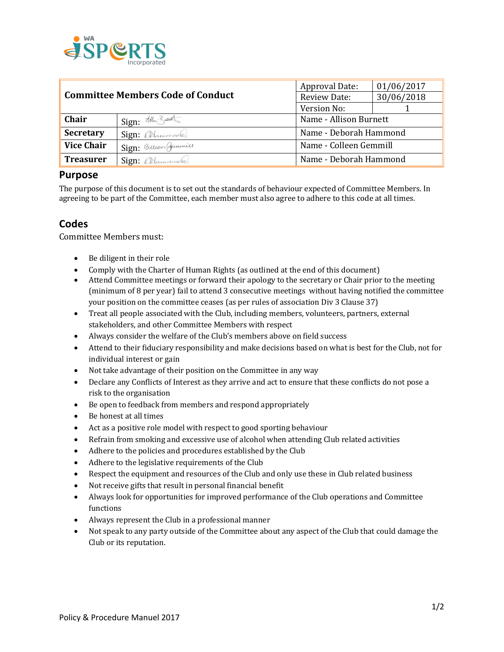

| <b>Committee Members Code of Conduct</b> |                         | <b>Approval Date:</b>  | 01/06/2017 |
|------------------------------------------|-------------------------|------------------------|------------|
|                                          |                         | Review Date:           | 30/06/2018 |
|                                          |                         | Version No:            |            |
| Chair                                    | Sign: the Bundles       | Name - Allison Burnett |            |
| <b>Secretary</b>                         | Sign: Alanungel         | Name - Deborah Hammond |            |
| <b>Vice Chair</b>                        | Sign: Colleen Germinics | Name - Colleen Gemmill |            |
| <b>Treasurer</b>                         | Sign: allammond.        | Name - Deborah Hammond |            |

## **Purpose**

The purpose of this document is to set out the standards of behaviour expected of Committee Members. In agreeing to be part of the Committee, each member must also agree to adhere to this code at all times.

## **Codes**

Committee Members must:

- Be diligent in their role
- Comply with the Charter of Human Rights (as outlined at the end of this document)
- Attend Committee meetings or forward their apology to the secretary or Chair prior to the meeting (minimum of 8 per year) fail to attend 3 consecutive meetings without having notified the committee your position on the committee ceases (as per rules of association Div 3 Clause 37)
- Treat all people associated with the Club, including members, volunteers, partners, external stakeholders, and other Committee Members with respect
- Always consider the welfare of the Club's members above on field success
- Attend to their fiduciary responsibility and make decisions based on what is best for the Club, not for individual interest or gain
- Not take advantage of their position on the Committee in any way
- Declare any Conflicts of Interest as they arrive and act to ensure that these conflicts do not pose a risk to the organisation
- Be open to feedback from members and respond appropriately
- Be honest at all times
- Act as a positive role model with respect to good sporting behaviour
- Refrain from smoking and excessive use of alcohol when attending Club related activities
- Adhere to the policies and procedures established by the Club
- Adhere to the legislative requirements of the Club
- Respect the equipment and resources of the Club and only use these in Club related business
- Not receive gifts that result in personal financial benefit
- Always look for opportunities for improved performance of the Club operations and Committee functions
- Always represent the Club in a professional manner
- Not speak to any party outside of the Committee about any aspect of the Club that could damage the Club or its reputation.